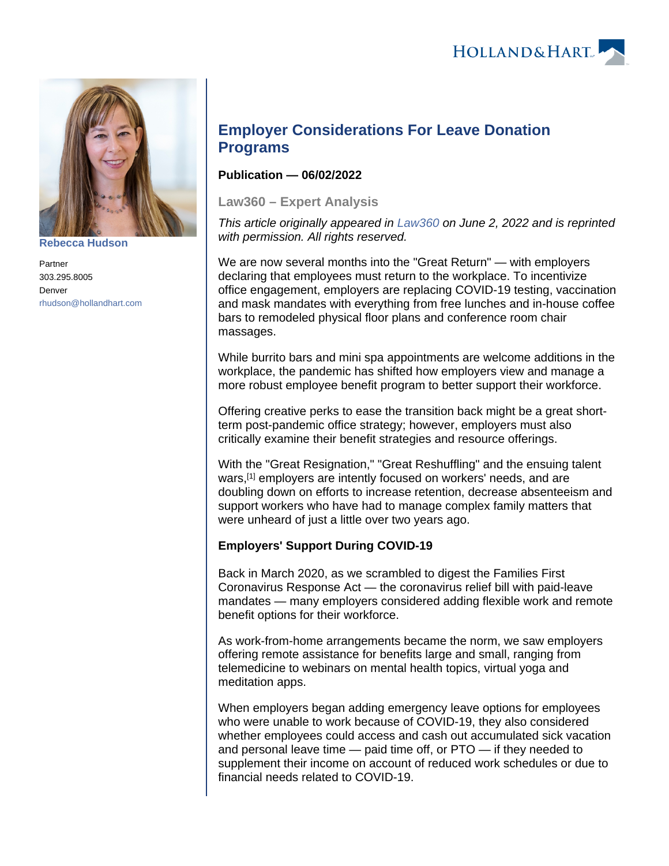



**[Rebecca Hudson](https://www.hollandhart.com/15568)**

Partner 303.295.8005 Denver [rhudson@hollandhart.com](mailto:rhudson@hollandhart.com)

# **Employer Considerations For Leave Donation Programs**

## **Publication — 06/02/2022**

**Law360 – Expert Analysis**

This article originally appeared in [Law360](https://www.law360.com/articles/1498884/employer-considerations-for-leave-donation-programs) on June 2, 2022 and is reprinted with permission. All rights reserved.

We are now several months into the "Great Return" — with employers declaring that employees must return to the workplace. To incentivize office engagement, employers are replacing COVID-19 testing, vaccination and mask mandates with everything from free lunches and in-house coffee bars to remodeled physical floor plans and conference room chair massages.

While burrito bars and mini spa appointments are welcome additions in the workplace, the pandemic has shifted how employers view and manage a more robust employee benefit program to better support their workforce.

Offering creative perks to ease the transition back might be a great shortterm post-pandemic office strategy; however, employers must also critically examine their benefit strategies and resource offerings.

With the "Great Resignation," "Great Reshuffling" and the ensuing talent wars,<sup>[1]</sup> employers are intently focused on workers' needs, and are doubling down on efforts to increase retention, decrease absenteeism and support workers who have had to manage complex family matters that were unheard of just a little over two years ago.

# **Employers' Support During COVID-19**

Back in March 2020, as we scrambled to digest the Families First Coronavirus Response Act — the coronavirus relief bill with paid-leave mandates — many employers considered adding flexible work and remote benefit options for their workforce.

As work-from-home arrangements became the norm, we saw employers offering remote assistance for benefits large and small, ranging from telemedicine to webinars on mental health topics, virtual yoga and meditation apps.

When employers began adding emergency leave options for employees who were unable to work because of COVID-19, they also considered whether employees could access and cash out accumulated sick vacation and personal leave time — paid time off, or PTO — if they needed to supplement their income on account of reduced work schedules or due to financial needs related to COVID-19.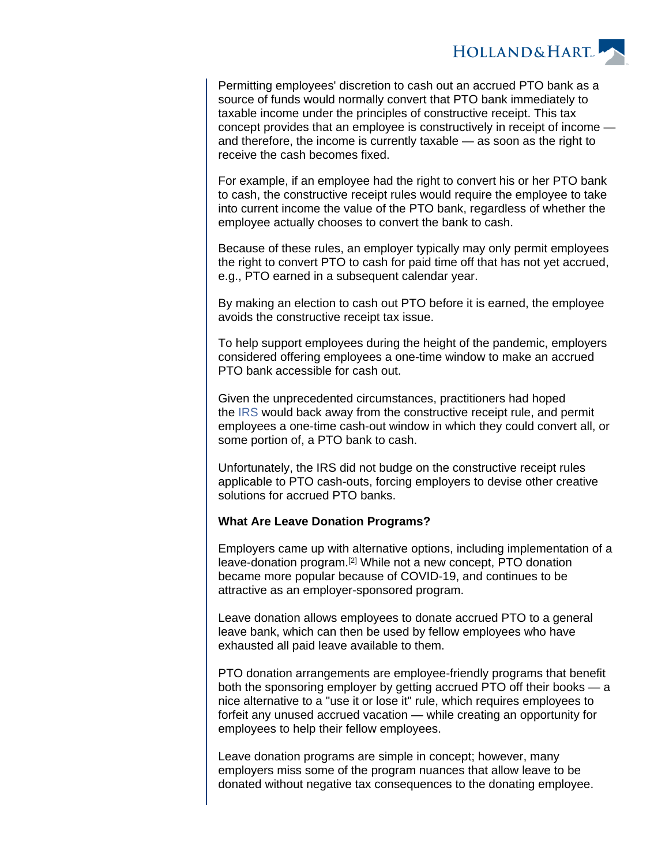

Permitting employees' discretion to cash out an accrued PTO bank as a source of funds would normally convert that PTO bank immediately to taxable income under the principles of constructive receipt. This tax concept provides that an employee is constructively in receipt of income and therefore, the income is currently taxable — as soon as the right to receive the cash becomes fixed.

For example, if an employee had the right to convert his or her PTO bank to cash, the constructive receipt rules would require the employee to take into current income the value of the PTO bank, regardless of whether the employee actually chooses to convert the bank to cash.

Because of these rules, an employer typically may only permit employees the right to convert PTO to cash for paid time off that has not yet accrued, e.g., PTO earned in a subsequent calendar year.

By making an election to cash out PTO before it is earned, the employee avoids the constructive receipt tax issue.

To help support employees during the height of the pandemic, employers considered offering employees a one-time window to make an accrued PTO bank accessible for cash out.

Given the unprecedented circumstances, practitioners had hoped the [IRS](https://www.law360.com/agencies/internal-revenue-service) would back away from the constructive receipt rule, and permit employees a one-time cash-out window in which they could convert all, or some portion of, a PTO bank to cash.

Unfortunately, the IRS did not budge on the constructive receipt rules applicable to PTO cash-outs, forcing employers to devise other creative solutions for accrued PTO banks.

### **What Are Leave Donation Programs?**

Employers came up with alternative options, including implementation of a leave-donation program.[2] While not a new concept, PTO donation became more popular because of COVID-19, and continues to be attractive as an employer-sponsored program.

Leave donation allows employees to donate accrued PTO to a general leave bank, which can then be used by fellow employees who have exhausted all paid leave available to them.

PTO donation arrangements are employee-friendly programs that benefit both the sponsoring employer by getting accrued PTO off their books — a nice alternative to a "use it or lose it" rule, which requires employees to forfeit any unused accrued vacation — while creating an opportunity for employees to help their fellow employees.

Leave donation programs are simple in concept; however, many employers miss some of the program nuances that allow leave to be donated without negative tax consequences to the donating employee.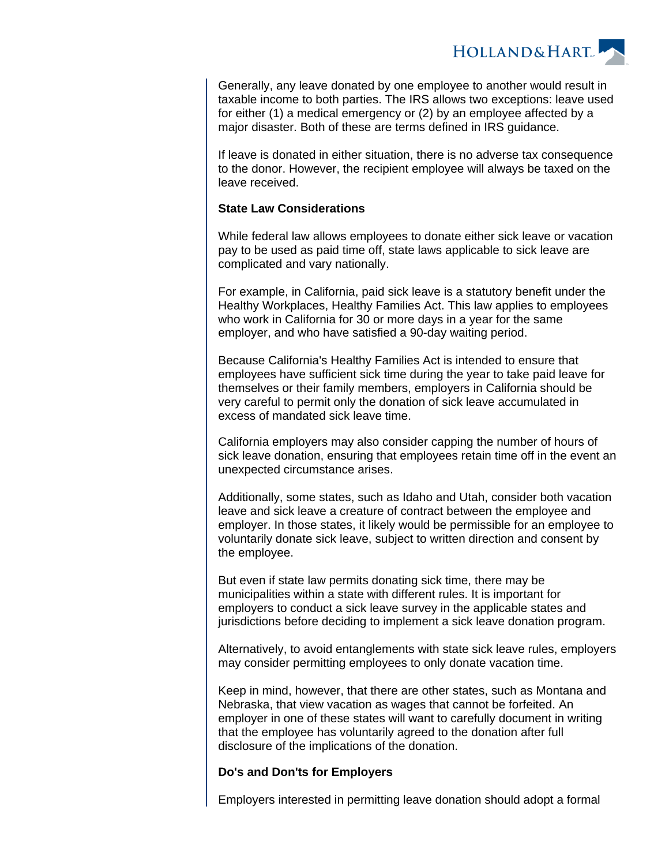**HOLLAND&HART** 

Generally, any leave donated by one employee to another would result in taxable income to both parties. The IRS allows two exceptions: leave used for either (1) a medical emergency or (2) by an employee affected by a major disaster. Both of these are terms defined in IRS guidance.

If leave is donated in either situation, there is no adverse tax consequence to the donor. However, the recipient employee will always be taxed on the leave received.

#### **State Law Considerations**

While federal law allows employees to donate either sick leave or vacation pay to be used as paid time off, state laws applicable to sick leave are complicated and vary nationally.

For example, in California, paid sick leave is a statutory benefit under the Healthy Workplaces, Healthy Families Act. This law applies to employees who work in California for 30 or more days in a year for the same employer, and who have satisfied a 90-day waiting period.

Because California's Healthy Families Act is intended to ensure that employees have sufficient sick time during the year to take paid leave for themselves or their family members, employers in California should be very careful to permit only the donation of sick leave accumulated in excess of mandated sick leave time.

California employers may also consider capping the number of hours of sick leave donation, ensuring that employees retain time off in the event an unexpected circumstance arises.

Additionally, some states, such as Idaho and Utah, consider both vacation leave and sick leave a creature of contract between the employee and employer. In those states, it likely would be permissible for an employee to voluntarily donate sick leave, subject to written direction and consent by the employee.

But even if state law permits donating sick time, there may be municipalities within a state with different rules. It is important for employers to conduct a sick leave survey in the applicable states and jurisdictions before deciding to implement a sick leave donation program.

Alternatively, to avoid entanglements with state sick leave rules, employers may consider permitting employees to only donate vacation time.

Keep in mind, however, that there are other states, such as Montana and Nebraska, that view vacation as wages that cannot be forfeited. An employer in one of these states will want to carefully document in writing that the employee has voluntarily agreed to the donation after full disclosure of the implications of the donation.

#### **Do's and Don'ts for Employers**

Employers interested in permitting leave donation should adopt a formal